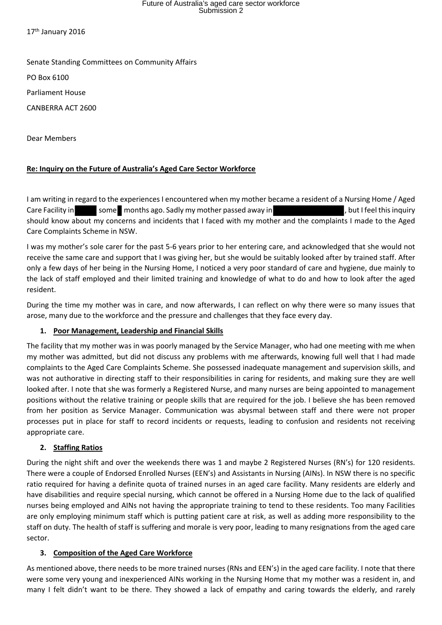## Future of Australia's aged care sector workforce Submission 2

17<sup>th</sup> January 2016

Senate Standing Committees on Community Affairs

PO Box 6100

Parliament House

CANBERRA ACT 2600

Dear Members

## **Re: Inquiry on the Future of Australia's Aged Care Sector Workforce**

I am writing in regard to the experiences I encountered when my mother became a resident of a Nursing Home / Aged Care Facility in some months ago. Sadly my mother passed away in the same part of the sinquiry should know about my concerns and incidents that I faced with my mother and the complaints I made to the Aged Care Complaints Scheme in NSW.

I was my mother's sole carer for the past 5-6 years prior to her entering care, and acknowledged that she would not receive the same care and support that I was giving her, but she would be suitably looked after by trained staff. After only a few days of her being in the Nursing Home, I noticed a very poor standard of care and hygiene, due mainly to the lack of staff employed and their limited training and knowledge of what to do and how to look after the aged resident.

During the time my mother was in care, and now afterwards, I can reflect on why there were so many issues that arose, many due to the workforce and the pressure and challenges that they face every day.

#### **1. Poor Management, Leadership and Financial Skills**

The facility that my mother was in was poorly managed by the Service Manager, who had one meeting with me when my mother was admitted, but did not discuss any problems with me afterwards, knowing full well that I had made complaints to the Aged Care Complaints Scheme. She possessed inadequate management and supervision skills, and was not authorative in directing staff to their responsibilities in caring for residents, and making sure they are well looked after. I note that she was formerly a Registered Nurse, and many nurses are being appointed to management positions without the relative training or people skills that are required for the job. I believe she has been removed from her position as Service Manager. Communication was abysmal between staff and there were not proper processes put in place for staff to record incidents or requests, leading to confusion and residents not receiving appropriate care.

#### **2. Staffing Ratios**

During the night shift and over the weekends there was 1 and maybe 2 Registered Nurses (RN's) for 120 residents. There were a couple of Endorsed Enrolled Nurses (EEN's) and Assistants in Nursing (AINs). In NSW there is no specific ratio required for having a definite quota of trained nurses in an aged care facility. Many residents are elderly and have disabilities and require special nursing, which cannot be offered in a Nursing Home due to the lack of qualified nurses being employed and AINs not having the appropriate training to tend to these residents. Too many Facilities are only employing minimum staff which is putting patient care at risk, as well as adding more responsibility to the staff on duty. The health of staff is suffering and morale is very poor, leading to many resignations from the aged care sector.

#### **3. Composition of the Aged Care Workforce**

As mentioned above, there needs to be more trained nurses (RNs and EEN's) in the aged care facility. I note that there were some very young and inexperienced AINs working in the Nursing Home that my mother was a resident in, and many I felt didn't want to be there. They showed a lack of empathy and caring towards the elderly, and rarely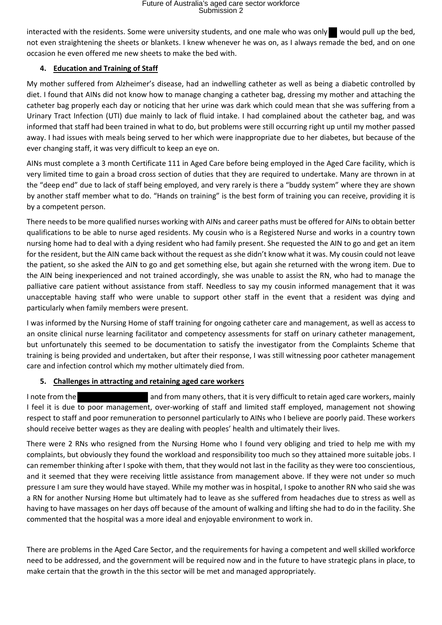interacted with the residents. Some were university students, and one male who was only would pull up the bed, not even straightening the sheets or blankets. I knew whenever he was on, as I always remade the bed, and on one occasion he even offered me new sheets to make the bed with.

## **4. Education and Training of Staff**

My mother suffered from Alzheimer's disease, had an indwelling catheter as well as being a diabetic controlled by diet. I found that AINs did not know how to manage changing a catheter bag, dressing my mother and attaching the catheter bag properly each day or noticing that her urine was dark which could mean that she was suffering from a Urinary Tract Infection (UTI) due mainly to lack of fluid intake. I had complained about the catheter bag, and was informed that staff had been trained in what to do, but problems were still occurring right up until my mother passed away. I had issues with meals being served to her which were inappropriate due to her diabetes, but because of the ever changing staff, it was very difficult to keep an eye on.

AINs must complete a 3 month Certificate 111 in Aged Care before being employed in the Aged Care facility, which is very limited time to gain a broad cross section of duties that they are required to undertake. Many are thrown in at the "deep end" due to lack of staff being employed, and very rarely is there a "buddy system" where they are shown by another staff member what to do. "Hands on training" is the best form of training you can receive, providing it is by a competent person.

There needs to be more qualified nurses working with AINs and career paths must be offered for AINs to obtain better qualifications to be able to nurse aged residents. My cousin who is a Registered Nurse and works in a country town nursing home had to deal with a dying resident who had family present. She requested the AIN to go and get an item for the resident, but the AIN came back without the request as she didn't know what it was. My cousin could not leave the patient, so she asked the AIN to go and get something else, but again she returned with the wrong item. Due to the AIN being inexperienced and not trained accordingly, she was unable to assist the RN, who had to manage the palliative care patient without assistance from staff. Needless to say my cousin informed management that it was unacceptable having staff who were unable to support other staff in the event that a resident was dying and particularly when family members were present.

I was informed by the Nursing Home of staff training for ongoing catheter care and management, as well as access to an onsite clinical nurse learning facilitator and competency assessments for staff on urinary catheter management, but unfortunately this seemed to be documentation to satisfy the investigator from the Complaints Scheme that training is being provided and undertaken, but after their response, I was still witnessing poor catheter management care and infection control which my mother ultimately died from.

#### **5. Challenges in attracting and retaining aged care workers**

I note from the and from many others, that it is very difficult to retain aged care workers, mainly I feel it is due to poor management, over-working of staff and limited staff employed, management not showing respect to staff and poor remuneration to personnel particularly to AINs who I believe are poorly paid. These workers should receive better wages as they are dealing with peoples' health and ultimately their lives.

There were 2 RNs who resigned from the Nursing Home who I found very obliging and tried to help me with my complaints, but obviously they found the workload and responsibility too much so they attained more suitable jobs. I can remember thinking after I spoke with them, that they would not last in the facility as they were too conscientious, and it seemed that they were receiving little assistance from management above. If they were not under so much pressure I am sure they would have stayed. While my mother was in hospital, I spoke to another RN who said she was a RN for another Nursing Home but ultimately had to leave as she suffered from headaches due to stress as well as having to have massages on her days off because of the amount of walking and lifting she had to do in the facility. She commented that the hospital was a more ideal and enjoyable environment to work in.

There are problems in the Aged Care Sector, and the requirements for having a competent and well skilled workforce need to be addressed, and the government will be required now and in the future to have strategic plans in place, to make certain that the growth in the this sector will be met and managed appropriately.